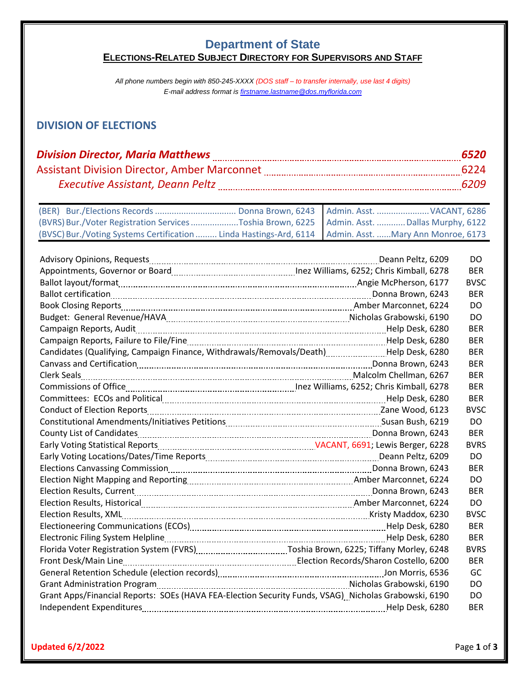#### **Department of State ELECTIONS-RELATED SUBJECT DIRECTORY FOR SUPERVISORS AND STAFF**

*All phone numbers begin with 850-245-XXXX (DOS staff – to transfer internally, use last 4 digits) E-mail address format i[s firstname.lastname@dos.myflorida.com](mailto:firstname.lastname@dos.myflorida.com)*

# **DIVISION OF ELECTIONS**

| <b>Division Director, Maria Matthews</b>            | 6520 |
|-----------------------------------------------------|------|
| <b>Assistant Division Director, Amber Marconnet</b> | 6224 |
| <b>Executive Assistant, Deann Peltz</b>             | 6209 |

|                                                                                                         | Donna Brown, 6243   Admin. Asst.  VACANT, 6286 |
|---------------------------------------------------------------------------------------------------------|------------------------------------------------|
| (BVRS) Bur./Voter Registration Services Toshia Brown, 6225   Admin. Asst. Dallas Murphy, 6122           |                                                |
| (BVSC) Bur./Voting Systems Certification  Linda Hastings-Ard, 6114   Admin. Asst. Mary Ann Monroe, 6173 |                                                |

|                                                                                                      |                 | DO          |
|------------------------------------------------------------------------------------------------------|-----------------|-------------|
|                                                                                                      |                 | <b>BER</b>  |
|                                                                                                      |                 | <b>BVSC</b> |
|                                                                                                      |                 | <b>BER</b>  |
|                                                                                                      |                 | DO.         |
|                                                                                                      |                 | DO.         |
|                                                                                                      |                 | <b>BER</b>  |
|                                                                                                      |                 | <b>BER</b>  |
| Candidates (Qualifying, Campaign Finance, Withdrawals/Removals/Death)Help Desk, 6280                 |                 | <b>BER</b>  |
|                                                                                                      |                 | <b>BER</b>  |
|                                                                                                      |                 | <b>BER</b>  |
|                                                                                                      |                 | <b>BER</b>  |
|                                                                                                      |                 | <b>BER</b>  |
|                                                                                                      |                 | <b>BVSC</b> |
|                                                                                                      |                 | DO          |
|                                                                                                      |                 | <b>BER</b>  |
|                                                                                                      |                 | <b>BVRS</b> |
|                                                                                                      |                 | DO          |
|                                                                                                      |                 | <b>BER</b>  |
|                                                                                                      |                 | DO.         |
|                                                                                                      |                 | <b>BER</b>  |
|                                                                                                      |                 | <b>DO</b>   |
|                                                                                                      |                 | <b>BVSC</b> |
|                                                                                                      |                 | <b>BER</b>  |
|                                                                                                      |                 | <b>BER</b>  |
|                                                                                                      |                 | <b>BVRS</b> |
|                                                                                                      |                 | <b>BER</b>  |
|                                                                                                      |                 | GC          |
|                                                                                                      |                 | DO.         |
| Grant Apps/Financial Reports: SOEs (HAVA FEA-Election Security Funds, VSAG) Nicholas Grabowski, 6190 |                 | DO.         |
|                                                                                                      | Help Desk, 6280 | <b>BER</b>  |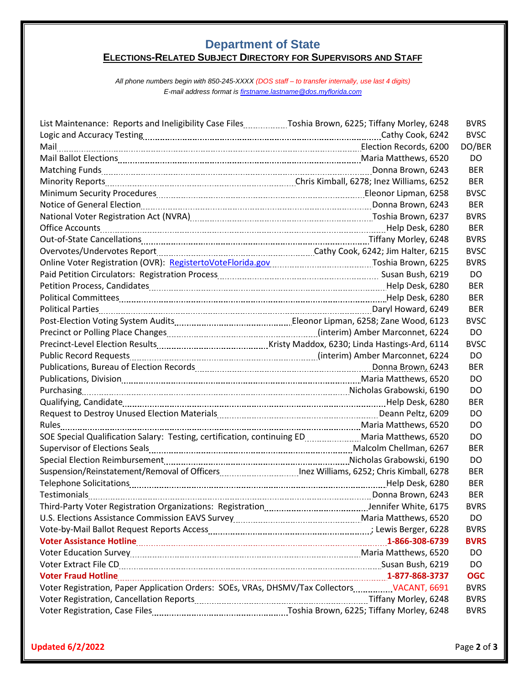#### **Department of State ELECTIONS-RELATED SUBJECT DIRECTORY FOR SUPERVISORS AND STAFF**

*All phone numbers begin with 850-245-XXXX (DOS staff – to transfer internally, use last 4 digits) E-mail address format i[s firstname.lastname@dos.myflorida.com](mailto:firstname.lastname@dos.myflorida.com)*

| List Maintenance: Reports and Ineligibility Case FilesToshia Brown, 6225; Tiffany Morley, 6248                 | <b>BVRS</b> |
|----------------------------------------------------------------------------------------------------------------|-------------|
|                                                                                                                | <b>BVSC</b> |
|                                                                                                                | DO/BER      |
|                                                                                                                | DO          |
| Matching Funds [100] Matching Funds around the Sandy Canadian Community of the Matching Funds Brown, 6243      | <b>BER</b>  |
| Minority Reports [100] Minority Reports [252] Minority Reports [252] Minority Reports [252] Minority Reports [ | <b>BER</b>  |
|                                                                                                                | <b>BVSC</b> |
| Notice of General Election [100] Notice of General Election [243]                                              | <b>BER</b>  |
| National Voter Registration Act (NVRA) [100] National Contract Toshia Brown, 6237                              | <b>BVRS</b> |
|                                                                                                                | <b>BER</b>  |
|                                                                                                                | <b>BVRS</b> |
|                                                                                                                | <b>BVSC</b> |
| Online Voter Registration (OVR): RegistertoVoteFlorida.gov Manumerror Toshia Brown, 6225                       | <b>BVRS</b> |
|                                                                                                                | DO          |
|                                                                                                                | <b>BER</b>  |
|                                                                                                                | <b>BER</b>  |
|                                                                                                                | <b>BER</b>  |
| Post-Election Voting System Audits [1001] [2012] [2013] [2013] [2014] [2014] [2014] [2014] [2014] [2014] [2015 | <b>BVSC</b> |
|                                                                                                                | DO          |
|                                                                                                                | <b>BVSC</b> |
|                                                                                                                | DO          |
|                                                                                                                | <b>BER</b>  |
|                                                                                                                | DO          |
| Purchasing 190                                                                                                 | DO          |
|                                                                                                                | <b>BER</b>  |
|                                                                                                                | DO          |
|                                                                                                                | DO          |
| SOE Special Qualification Salary: Testing, certification, continuing EDMaria Matthews, 6520                    | DO          |
|                                                                                                                | <b>BER</b>  |
|                                                                                                                | DO          |
|                                                                                                                | <b>BER</b>  |
|                                                                                                                | <b>BER</b>  |
|                                                                                                                | <b>BER</b>  |
|                                                                                                                | <b>BVRS</b> |
|                                                                                                                | DO.         |
| Vote-by-Mail Ballot Request Reports Access [11] Note 1 (2008) 4: 10: 2016 [128] June 1: 20: 20: 20: 20: 20: 20 | <b>BVRS</b> |
|                                                                                                                | <b>BVRS</b> |
|                                                                                                                | DO          |
| Voter Extract File CD. COMERCIAL SUBSETION CONTROLLER SUSAR Bush, 6219                                         | DO          |
| Voter Fraud Hotline 1880-3737                                                                                  | <b>OGC</b>  |
| Voter Registration, Paper Application Orders: SOEs, VRAs, DHSMV/Tax Collectors ___________ VACANT, 6691        | <b>BVRS</b> |
|                                                                                                                | <b>BVRS</b> |
|                                                                                                                | <b>BVRS</b> |